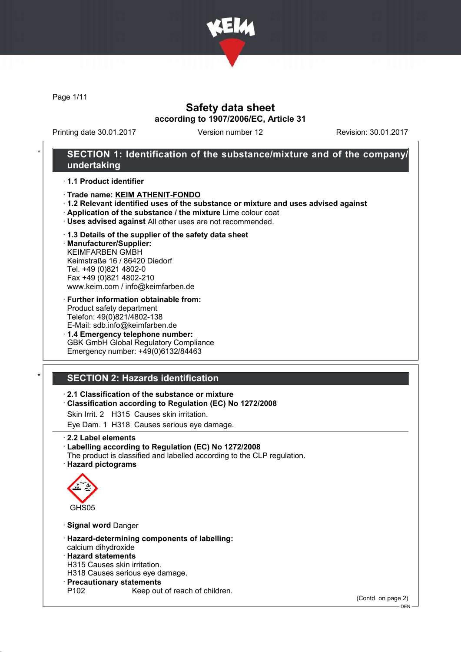

Page 1/11

## Safety data sheet according to 1907/2006/EC, Article 31

Printing date 30.01.2017 Version number 12 Revision: 30.01.2017

## SECTION 1: Identification of the substance/mixture and of the company/ undertaking

· 1.1 Product identifier

- · Trade name: KEIM ATHENIT-FONDO
- · 1.2 Relevant identified uses of the substance or mixture and uses advised against
- · Application of the substance / the mixture Lime colour coat
- · Uses advised against All other uses are not recommended.

#### · 1.3 Details of the supplier of the safety data sheet

· Manufacturer/Supplier: KEIMFARBEN GMBH Keimstraße 16 / 86420 Diedorf Tel. +49 (0)821 4802-0 Fax +49 (0)821 4802-210 www.keim.com / info@keimfarben.de

#### · Further information obtainable from: Product safety department Telefon: 49(0)821/4802-138 E-Mail: sdb.info@keimfarben.de

· 1.4 Emergency telephone number: GBK GmbH Global Regulatory Compliance Emergency number: +49(0)6132/84463

# **SECTION 2: Hazards identification**

#### · 2.1 Classification of the substance or mixture

- · Classification according to Regulation (EC) No 1272/2008
- Skin Irrit. 2 H315 Causes skin irritation.
- Eye Dam. 1 H318 Causes serious eye damage.
- · 2.2 Label elements

#### · Labelling according to Regulation (EC) No 1272/2008

The product is classified and labelled according to the CLP regulation. · Hazard pictograms



- · Signal word Danger
- · Hazard-determining components of labelling: calcium dihydroxide
- · Hazard statements
- H315 Causes skin irritation.
- H318 Causes serious eye damage.
- · Precautionary statements
	- Keep out of reach of children.

(Contd. on page 2)

DEN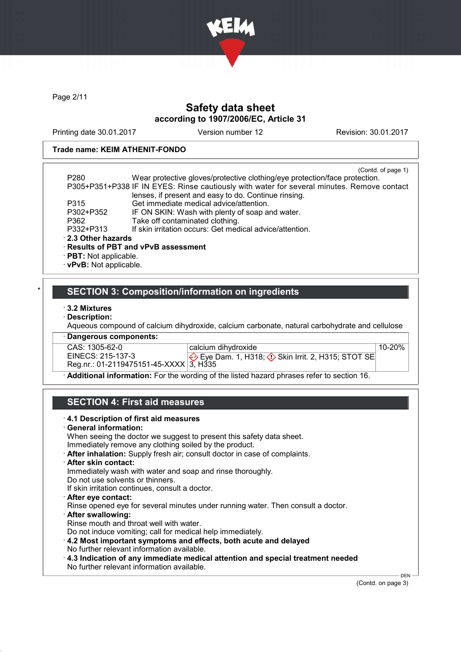

Page 2/11

## Safety data sheet according to 1907/2006/EC, Article 31

Printing date 30.01.2017 Version number 12 Revision: 30.01.2017

#### Trade name: KEIM ATHENIT-FONDO

|                              | (Contd. of page 1)                                                                         |
|------------------------------|--------------------------------------------------------------------------------------------|
| P <sub>280</sub>             | Wear protective gloves/protective clothing/eye protection/face protection.                 |
|                              | P305+P351+P338 IF IN EYES: Rinse cautiously with water for several minutes. Remove contact |
|                              | lenses, if present and easy to do. Continue rinsing.                                       |
| P315                         | Get immediate medical advice/attention.                                                    |
| P302+P352                    | IF ON SKIN: Wash with plenty of soap and water.                                            |
| P362                         | Take off contaminated clothing.                                                            |
| P332+P313                    | If skin irritation occurs: Get medical advice/attention.                                   |
| 2.3 Other hazards            |                                                                                            |
|                              | · Results of PBT and vPvB assessment                                                       |
| $\cdot$ PBT: Not applicable. |                                                                                            |

· vPvB: Not applicable.

## SECTION 3: Composition/information on ingredients

- · 3.2 Mixtures
- · Description:

Aqueous compound of calcium dihydroxide, calcium carbonate, natural carbohydrate and cellulose

· Dangerous components:

CAS: 1305-62-0<br>EINECS: 215-137-3 EINECS: 215-137-3 Reg.nr.: 01-2119475151-45-XXXX calcium dihydroxide Eye Dam. 1, H318;  $\Diamond$  Skin Irrit. 2, H315; STOT SE 3, H335 10-20%

· Additional information: For the wording of the listed hazard phrases refer to section 16.

# SECTION 4: First aid measures

| When seeing the doctor we suggest to present this safety data sheet.                   |  |
|----------------------------------------------------------------------------------------|--|
| Immediately remove any clothing soiled by the product.                                 |  |
| After inhalation: Supply fresh air; consult doctor in case of complaints.              |  |
| · After skin contact:                                                                  |  |
| Immediately wash with water and soap and rinse thoroughly.                             |  |
| Do not use solvents or thinners.                                                       |  |
| If skin irritation continues, consult a doctor.                                        |  |
| · After eye contact:                                                                   |  |
| Rinse opened eye for several minutes under running water. Then consult a doctor.       |  |
| · After swallowing:                                                                    |  |
| Rinse mouth and throat well with water.                                                |  |
| Do not induce vomiting; call for medical help immediately.                             |  |
| 4.2 Most important symptoms and effects, both acute and delayed                        |  |
| No further relevant information available.                                             |  |
| $\cdot$ 4.3 Indication of any immediate medical attention and special treatment needed |  |
| No further relevant information available.                                             |  |

(Contd. on page 3)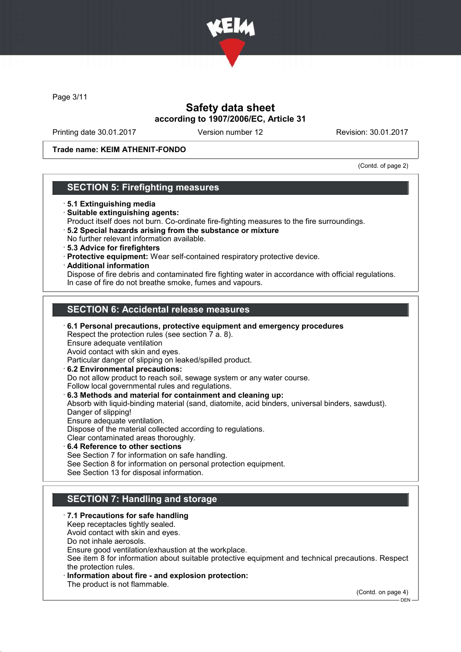

Page 3/11

## Safety data sheet according to 1907/2006/EC, Article 31

Printing date 30.01.2017 Version number 12 Revision: 30.01.2017

Trade name: KEIM ATHENIT-FONDO

(Contd. of page 2)

## SECTION 5: Firefighting measures

- · 5.1 Extinguishing media
- · Suitable extinguishing agents:
- Product itself does not burn. Co-ordinate fire-fighting measures to the fire surroundings.
- · 5.2 Special hazards arising from the substance or mixture No further relevant information available.
- · 5.3 Advice for firefighters
- · Protective equipment: Wear self-contained respiratory protective device.
- · Additional information

Dispose of fire debris and contaminated fire fighting water in accordance with official regulations. In case of fire do not breathe smoke, fumes and vapours.

# SECTION 6: Accidental release measures

- · 6.1 Personal precautions, protective equipment and emergency procedures Respect the protection rules (see section 7 a. 8). Ensure adequate ventilation Avoid contact with skin and eyes. Particular danger of slipping on leaked/spilled product. · 6.2 Environmental precautions: Do not allow product to reach soil, sewage system or any water course. Follow local governmental rules and regulations. · 6.3 Methods and material for containment and cleaning up: Absorb with liquid-binding material (sand, diatomite, acid binders, universal binders, sawdust). Danger of slipping! Ensure adequate ventilation. Dispose of the material collected according to regulations. Clear contaminated areas thoroughly.
- 6.4 Reference to other sections See Section 7 for information on safe handling. See Section 8 for information on personal protection equipment. See Section 13 for disposal information.

# SECTION 7: Handling and storage

#### · 7.1 Precautions for safe handling

Keep receptacles tightly sealed. Avoid contact with skin and eyes.

Do not inhale aerosols.

Ensure good ventilation/exhaustion at the workplace.

See item 8 for information about suitable protective equipment and technical precautions. Respect the protection rules.

Information about fire - and explosion protection:

The product is not flammable.

(Contd. on page 4)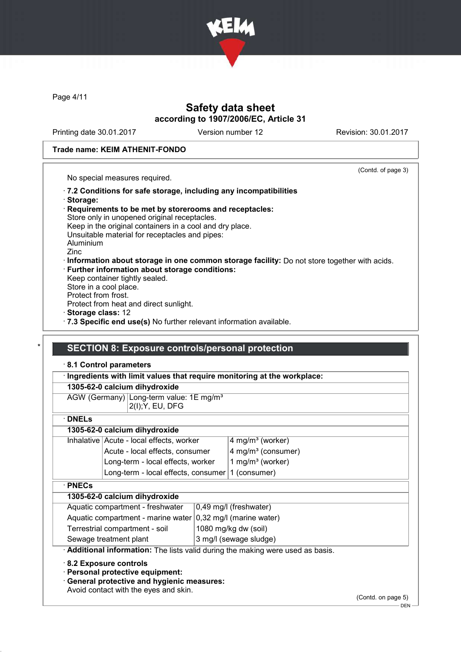

Page 4/11

## Safety data sheet according to 1907/2006/EC, Article 31

Printing date 30.01.2017 Version number 12 Revision: 30.01.2017

(Contd. of page 3)

#### Trade name: KEIM ATHENIT-FONDO

No special measures required.

- · 7.2 Conditions for safe storage, including any incompatibilities · Storage:
- · Requirements to be met by storerooms and receptacles: Store only in unopened original receptacles. Keep in the original containers in a cool and dry place. Unsuitable material for receptacles and pipes: Aluminium Zinc · Information about storage in one common storage facility: Do not store together with acids. · Further information about storage conditions:
- Keep container tightly sealed. Store in a cool place. Protect from frost. Protect from heat and direct sunlight. · Storage class: 12
- 
- · 7.3 Specific end use(s) No further relevant information available.

#### **SECTION 8: Exposure controls/personal protection**

#### · 8.1 Control parameters

#### · Ingredients with limit values that require monitoring at the workplace:

|  |  | 1305-62-0 calcium dihydroxide |
|--|--|-------------------------------|
|--|--|-------------------------------|

AGW (Germany) Long-term value: 1E mg/m<sup>3</sup> 2(I);Y, EU, DFG

· DNELs

#### 1305-62-0 calcium dihydroxide

| Inhalative Acute - local effects, worker         | $4$ mg/m <sup>3</sup> (worker)       |
|--------------------------------------------------|--------------------------------------|
| Acute - local effects, consumer                  | $4$ mg/m <sup>3</sup> (consumer)     |
| Long-term - local effects, worker                | $\vert$ 1 mg/m <sup>3</sup> (worker) |
| Long-term - local effects, consumer 1 (consumer) |                                      |
|                                                  |                                      |

#### · PNECs

## 1305-62-0 calcium dihydroxide

| Aquatic compartment - freshwater                                       | $ 0,49 \text{ mg/l}$ (freshwater) |
|------------------------------------------------------------------------|-----------------------------------|
| Aquatic compartment - marine water $ 0,32 \text{ mg/l}$ (marine water) |                                   |
| Terrestrial compartment - soil                                         | 1080 mg/kg dw (soil)              |
| Sewage treatment plant                                                 | 3 mg/l (sewage sludge)            |

· Additional information: The lists valid during the making were used as basis.

· 8.2 Exposure controls

· Personal protective equipment:

· General protective and hygienic measures:

Avoid contact with the eyes and skin.

(Contd. on page 5)

 $-$  DEN -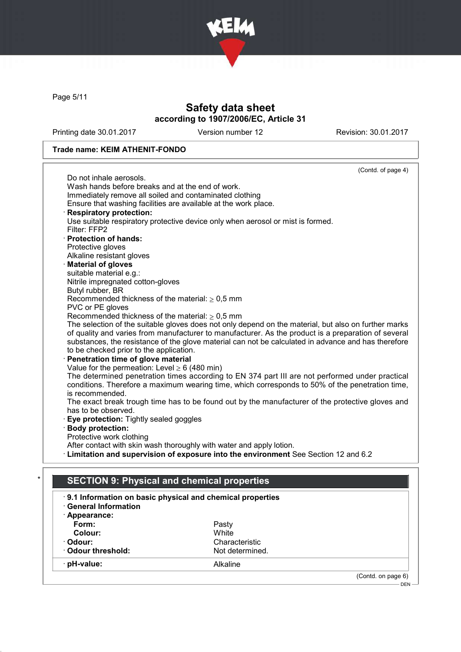

Page 5/11

# Safety data sheet according to 1907/2006/EC, Article 31

Printing date 30.01.2017 Version number 12 Revision: 30.01.2017

## Trade name: KEIM ATHENIT-FONDO

|                                                                 | (Contd. of page 4)                                                                                   |
|-----------------------------------------------------------------|------------------------------------------------------------------------------------------------------|
| Do not inhale aerosols.                                         |                                                                                                      |
| Wash hands before breaks and at the end of work.                |                                                                                                      |
| Immediately remove all soiled and contaminated clothing         |                                                                                                      |
| Ensure that washing facilities are available at the work place. |                                                                                                      |
| <b>Respiratory protection:</b>                                  |                                                                                                      |
| Filter: FFP2                                                    | Use suitable respiratory protective device only when aerosol or mist is formed.                      |
| · Protection of hands:                                          |                                                                                                      |
| Protective gloves                                               |                                                                                                      |
| Alkaline resistant gloves                                       |                                                                                                      |
| <b>Material of gloves</b>                                       |                                                                                                      |
| suitable material e.g.:                                         |                                                                                                      |
| Nitrile impregnated cotton-gloves                               |                                                                                                      |
| Butyl rubber, BR                                                |                                                                                                      |
| Recommended thickness of the material: $\geq 0.5$ mm            |                                                                                                      |
| PVC or PE gloves                                                |                                                                                                      |
| Recommended thickness of the material: $\geq 0.5$ mm            |                                                                                                      |
|                                                                 | The selection of the suitable gloves does not only depend on the material, but also on further marks |
|                                                                 | of quality and varies from manufacturer to manufacturer. As the product is a preparation of several  |
|                                                                 | substances, the resistance of the glove material can not be calculated in advance and has therefore  |
| to be checked prior to the application.                         |                                                                                                      |
| Penetration time of glove material                              |                                                                                                      |
| Value for the permeation: Level $\geq 6$ (480 min)              |                                                                                                      |
|                                                                 | The determined penetration times according to EN 374 part III are not performed under practical      |
|                                                                 | conditions. Therefore a maximum wearing time, which corresponds to 50% of the penetration time,      |
| is recommended.                                                 |                                                                                                      |
|                                                                 | The exact break trough time has to be found out by the manufacturer of the protective gloves and     |
| has to be observed.                                             |                                                                                                      |
| Eye protection: Tightly sealed goggles                          |                                                                                                      |
| <b>Body protection:</b>                                         |                                                                                                      |
| Protective work clothing                                        |                                                                                                      |
|                                                                 | After contact with skin wash thoroughly with water and apply lotion.                                 |
|                                                                 | · Limitation and supervision of exposure into the environment See Section 12 and 6.2                 |
|                                                                 |                                                                                                      |
| <b>SECTION 9: Physical and chemical properties</b>              |                                                                                                      |
|                                                                 | 9.1 Information on basic physical and chemical properties                                            |
| <b>General Information</b>                                      |                                                                                                      |
| · Appearance:                                                   |                                                                                                      |
| Form:                                                           | Pasty                                                                                                |
| Colour:                                                         | White                                                                                                |
| · Odour:                                                        | Characteristic                                                                                       |
| Odour threshold:                                                | Not determined.                                                                                      |
| · pH-value:                                                     | Alkaline                                                                                             |
|                                                                 | (Contd. on page 6)                                                                                   |
|                                                                 |                                                                                                      |

DEN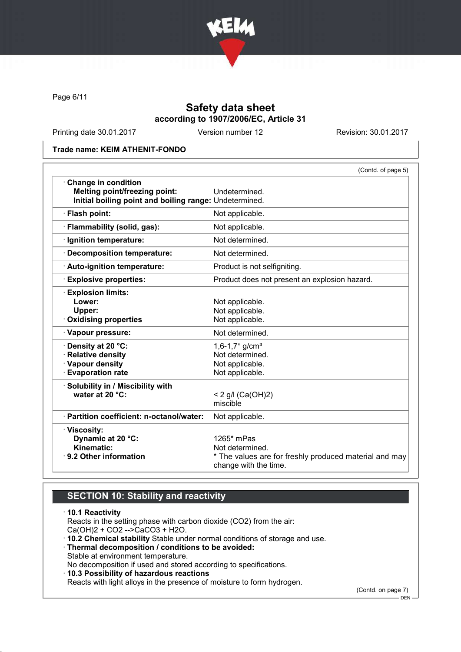

Page 6/11

## Safety data sheet according to 1907/2006/EC, Article 31

Printing date 30.01.2017 Version number 12 Revision: 30.01.2017

Trade name: KEIM ATHENIT-FONDO

|                                                                                                                       | (Contd. of page 5)                                                                                               |
|-----------------------------------------------------------------------------------------------------------------------|------------------------------------------------------------------------------------------------------------------|
| Change in condition<br><b>Melting point/freezing point:</b><br>Initial boiling point and boiling range: Undetermined. | Undetermined.                                                                                                    |
| · Flash point:                                                                                                        | Not applicable.                                                                                                  |
| · Flammability (solid, gas):                                                                                          | Not applicable.                                                                                                  |
| · Ignition temperature:                                                                                               | Not determined.                                                                                                  |
| · Decomposition temperature:                                                                                          | Not determined.                                                                                                  |
| · Auto-ignition temperature:                                                                                          | Product is not selfigniting.                                                                                     |
| <b>Explosive properties:</b>                                                                                          | Product does not present an explosion hazard.                                                                    |
| <b>Explosion limits:</b><br>Lower:<br>Upper:<br><b>Oxidising properties</b>                                           | Not applicable.<br>Not applicable.<br>Not applicable.                                                            |
| · Vapour pressure:                                                                                                    | Not determined.                                                                                                  |
| Density at 20 °C:<br>· Relative density<br>· Vapour density<br><b>Evaporation rate</b>                                | $1,6-1,7$ * g/cm <sup>3</sup><br>Not determined.<br>Not applicable.<br>Not applicable.                           |
| · Solubility in / Miscibility with<br>water at 20 °C:                                                                 | < 2 g/l (Ca(OH)2)<br>miscible                                                                                    |
| · Partition coefficient: n-octanol/water:                                                                             | Not applicable.                                                                                                  |
| · Viscosity:<br>Dynamic at 20 °C:<br>Kinematic:<br>⋅ 9.2 Other information                                            | 1265* mPas<br>Not determined.<br>* The values are for freshly produced material and may<br>change with the time. |

## SECTION 10: Stability and reactivity

· 10.1 Reactivity Reacts in the setting phase with carbon dioxide (CO2) from the air: Ca(OH)2 + CO2 -->CaCO3 + H2O. · 10.2 Chemical stability Stable under normal conditions of storage and use. · Thermal decomposition / conditions to be avoided: Stable at environment temperature. No decomposition if used and stored according to specifications. · 10.3 Possibility of hazardous reactions Reacts with light alloys in the presence of moisture to form hydrogen.

(Contd. on page 7)

DEN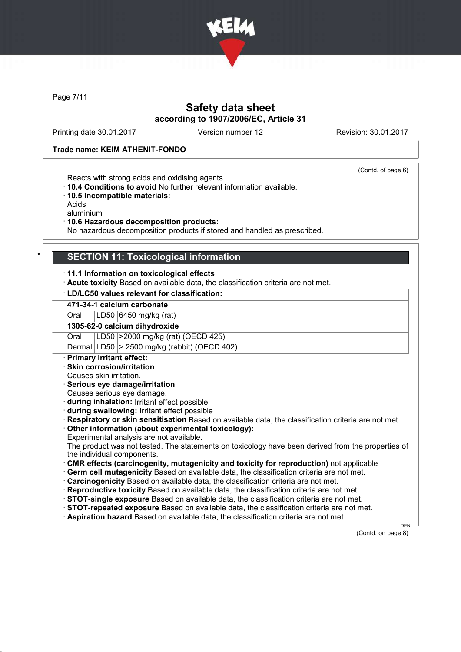

Page 7/11

## Safety data sheet according to 1907/2006/EC, Article 31

Printing date 30.01.2017 Version number 12 Revision: 30.01.2017

(Contd. of page 6)

#### Trade name: KEIM ATHENIT-FONDO

Reacts with strong acids and oxidising agents.

- · 10.4 Conditions to avoid No further relevant information available.
- · 10.5 Incompatible materials:

Acids

aluminium

· 10.6 Hazardous decomposition products:

No hazardous decomposition products if stored and handled as prescribed.

## **SECTION 11: Toxicological information**

· 11.1 Information on toxicological effects

· Acute toxicity Based on available data, the classification criteria are not met.

#### · LD/LC50 values relevant for classification:

471-34-1 calcium carbonate

Oral LD50 6450 mg/kg (rat) 1305-62-0 calcium dihydroxide

Oral LD50 >2000 mg/kg (rat) (OECD 425)

Dermal  $|LD50| > 2500$  mg/kg (rabbit) (OECD 402)

· Primary irritant effect:

· Skin corrosion/irritation

Causes skin irritation.

· Serious eye damage/irritation

Causes serious eye damage.

· during inhalation: Irritant effect possible.

· during swallowing: Irritant effect possible

· Respiratory or skin sensitisation Based on available data, the classification criteria are not met.

· Other information (about experimental toxicology):

Experimental analysis are not available.

The product was not tested. The statements on toxicology have been derived from the properties of the individual components.

· CMR effects (carcinogenity, mutagenicity and toxicity for reproduction) not applicable

· Germ cell mutagenicity Based on available data, the classification criteria are not met.

· Carcinogenicity Based on available data, the classification criteria are not met.

· Reproductive toxicity Based on available data, the classification criteria are not met.

- · STOT-single exposure Based on available data, the classification criteria are not met.
- · STOT-repeated exposure Based on available data, the classification criteria are not met.
- · Aspiration hazard Based on available data, the classification criteria are not met.

(Contd. on page 8)

DEN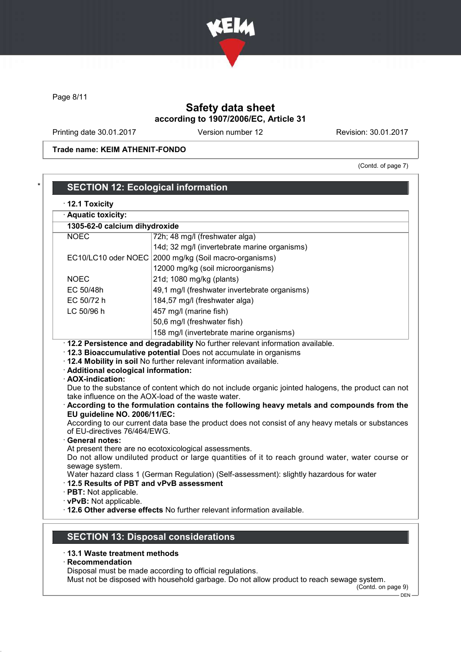

Page 8/11

# Safety data sheet according to 1907/2006/EC, Article 31

Printing date 30.01.2017 Version number 12 Revision: 30.01.2017

Trade name: KEIM ATHENIT-FONDO

(Contd. of page 7)

| 1305-62-0 calcium dihydroxide                                |                                                                                                                                                                                                                                                                                                                                                                                      |
|--------------------------------------------------------------|--------------------------------------------------------------------------------------------------------------------------------------------------------------------------------------------------------------------------------------------------------------------------------------------------------------------------------------------------------------------------------------|
| <b>NOEC</b>                                                  | 72h; 48 mg/l (freshwater alga)                                                                                                                                                                                                                                                                                                                                                       |
|                                                              | 14d; 32 mg/l (invertebrate marine organisms)                                                                                                                                                                                                                                                                                                                                         |
| EC10/LC10 oder NOEC                                          | 2000 mg/kg (Soil macro-organisms)                                                                                                                                                                                                                                                                                                                                                    |
|                                                              | 12000 mg/kg (soil microorganisms)                                                                                                                                                                                                                                                                                                                                                    |
| <b>NOEC</b>                                                  | 21d; 1080 mg/kg (plants)                                                                                                                                                                                                                                                                                                                                                             |
| EC 50/48h                                                    | 49,1 mg/l (freshwater invertebrate organisms)                                                                                                                                                                                                                                                                                                                                        |
| EC 50/72 h                                                   | 184,57 mg/l (freshwater alga)                                                                                                                                                                                                                                                                                                                                                        |
| LC 50/96 h                                                   | 457 mg/l (marine fish)                                                                                                                                                                                                                                                                                                                                                               |
|                                                              | 50,6 mg/l (freshwater fish)                                                                                                                                                                                                                                                                                                                                                          |
|                                                              | 158 mg/l (invertebrate marine organisms)                                                                                                                                                                                                                                                                                                                                             |
| · Additional ecological information:<br>· AOX-indication:    | · 12.2 Persistence and degradability No further relevant information available.<br>12.3 Bioaccumulative potential Does not accumulate in organisms<br>· 12.4 Mobility in soil No further relevant information available.<br>Due to the substance of content which do not include organic jointed halogens, the product can not<br>take influence on the AOX-load of the waste water. |
| EU guideline NO. 2006/11/EC:<br>of EU-directives 76/464/EWG. | According to the formulation contains the following heavy metals and compounds from the<br>According to our current data base the product does not consist of any heavy metals or substances                                                                                                                                                                                         |
| · General notes:<br>sewage system.                           | At present there are no ecotoxicological assessments.<br>Do not allow undiluted product or large quantities of it to reach ground water, water course or<br>Water hazard class 1 (German Regulation) (Self-assessment): slightly hazardous for water                                                                                                                                 |

# · 13.1 Waste treatment methods

· Recommendation

Disposal must be made according to official regulations.

Must not be disposed with household garbage. Do not allow product to reach sewage system.

(Contd. on page 9)  $-$  DEN -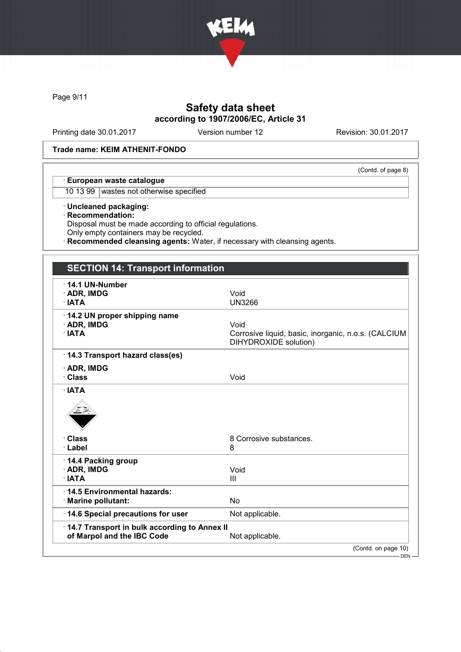

Page 9/11

# Safety data sheet according to 1907/2006/EC, Article 31

Printing date 30.01.2017 Version number 12 Revision: 30.01.2017

(Contd. of page 8)

#### Trade name: KEIM ATHENIT-FONDO

#### · European waste catalogue

10 13 99 wastes not otherwise specified

· Uncleaned packaging:

· Recommendation:

Disposal must be made according to official regulations.

Only empty containers may be recycled.

Recommended cleansing agents: Water, if necessary with cleansing agents.

## SECTION 14: Transport information

| 14.1 UN-Number<br>$\cdot$ ADR, IMDG<br>· IATA                              | Void<br><b>UN3266</b>                                                                |
|----------------------------------------------------------------------------|--------------------------------------------------------------------------------------|
| 14.2 UN proper shipping name<br>· ADR, IMDG<br>· IATA                      | Void<br>Corrosive liquid, basic, inorganic, n.o.s. (CALCIUM<br>DIHYDROXIDE solution) |
| 14.3 Transport hazard class(es)                                            |                                                                                      |
| $\cdot$ ADR, IMDG<br>· Class                                               | Void                                                                                 |
| · Class<br>· Label                                                         | 8 Corrosive substances.<br>8                                                         |
| 14.4 Packing group<br>· ADR, IMDG<br>$\cdot$ IATA                          | Void<br>Ш                                                                            |
| 14.5 Environmental hazards:<br>· Marine pollutant:                         | <b>No</b>                                                                            |
| 14.6 Special precautions for user                                          | Not applicable.                                                                      |
| 14.7 Transport in bulk according to Annex II<br>of Marpol and the IBC Code | Not applicable.                                                                      |
|                                                                            | (Contd. on page 10)<br>DEN-                                                          |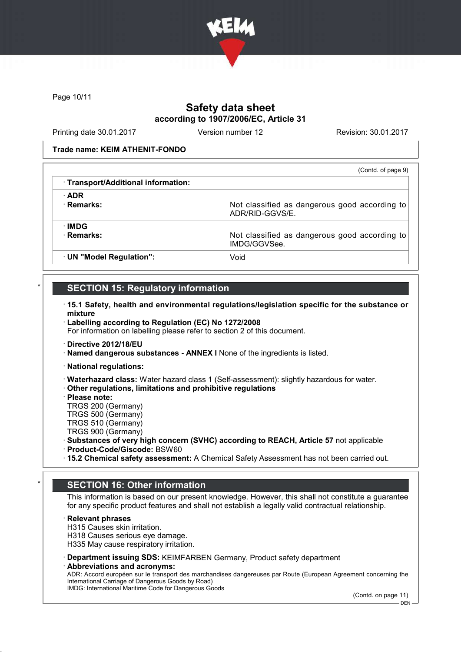

Page 10/11

# Safety data sheet according to 1907/2006/EC, Article 31

Printing date 30.01.2017 Version number 12 Revision: 30.01.2017

Trade name: KEIM ATHENIT-FONDO

|                                     | (Contd. of page 9)                                               |
|-------------------------------------|------------------------------------------------------------------|
| · Transport/Additional information: |                                                                  |
| $\cdot$ ADR                         |                                                                  |
| · Remarks:                          | Not classified as dangerous good according to<br>ADR/RID-GGVS/E. |
| ·IMDG                               |                                                                  |
| · Remarks:                          | Not classified as dangerous good according to<br>IMDG/GGVSee     |
| · UN "Model Regulation":            | Void                                                             |

## **SECTION 15: Regulatory information**

- · 15.1 Safety, health and environmental regulations/legislation specific for the substance or mixture
- · Labelling according to Regulation (EC) No 1272/2008

For information on labelling please refer to section 2 of this document.

- · Directive 2012/18/EU
- · Named dangerous substances ANNEX I None of the ingredients is listed.
- · National regulations:
- · Waterhazard class: Water hazard class 1 (Self-assessment): slightly hazardous for water.
- · Other regulations, limitations and prohibitive regulations
- · Please note:
- TRGS 200 (Germany)
- TRGS 500 (Germany)
- TRGS 510 (Germany)
- TRGS 900 (Germany)
- · Substances of very high concern (SVHC) according to REACH, Article 57 not applicable
- · Product-Code/Giscode: BSW60
- · 15.2 Chemical safety assessment: A Chemical Safety Assessment has not been carried out.

## **SECTION 16: Other information**

This information is based on our present knowledge. However, this shall not constitute a guarantee for any specific product features and shall not establish a legally valid contractual relationship.

#### · Relevant phrases

- H315 Causes skin irritation.
- H318 Causes serious eye damage.
- H335 May cause respiratory irritation.
- · Department issuing SDS: KEIMFARBEN Germany, Product safety department
- Abbreviations and acronyms:

ADR: Accord européen sur le transport des marchandises dangereuses par Route (European Agreement concerning the International Carriage of Dangerous Goods by Road) IMDG: International Maritime Code for Dangerous Goods

(Contd. on page 11)